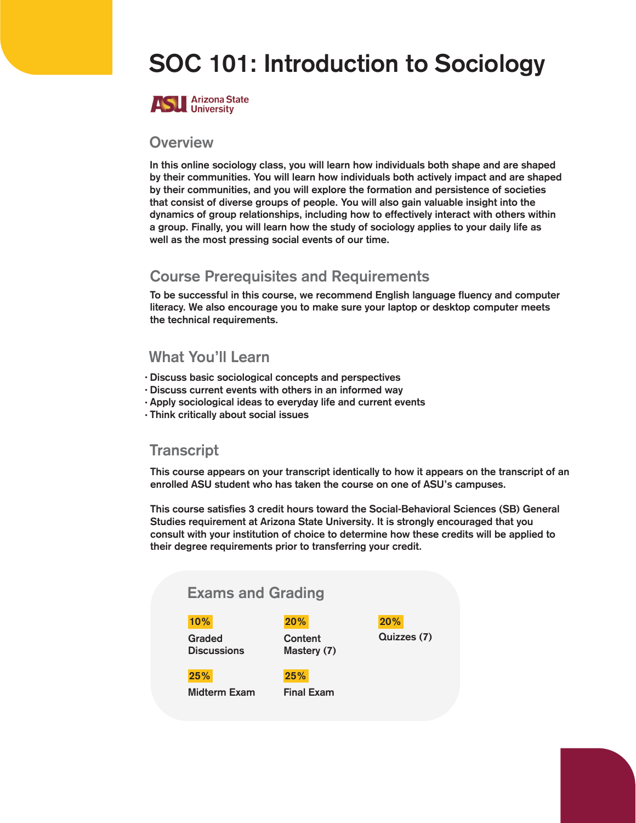# SOC 101: Introduction to Sociology



#### **Overview**

In this online sociology class, you will learn how individuals both shape and are shaped by their communities. You will learn how individuals both actively impact and are shaped by their communities, and you will explore the formation and persistence of societies that consist of diverse groups of people. You will also gain valuable insight into the dynamics of group relationships, including how to effectively interact with others within a group. Finally, you will learn how the study of sociology applies to your daily life as well as the most pressing social events of our time.

## Course Prerequisites and Requirements

To be successful in this course, we recommend English language fluency and computer literacy. We also encourage you to make sure your laptop or desktop computer meets the technical requirements.

### What You'll Learn

- Discuss basic sociological concepts and perspectives
- Discuss current events with others in an informed way
- Apply sociological ideas to everyday life and current events
- Think critically about social issues •

### **Transcript**

This course appears on your transcript identically to how it appears on the transcript of an enrolled ASU student who has taken the course on one of ASU's campuses.

This course satisfies 3 credit hours toward the Social-Behavioral Sciences (SB) General Studies requirement at Arizona State University. It is strongly encouraged that you consult with your institution of choice to determine how these credits will be applied to their degree requirements prior to transferring your credit.